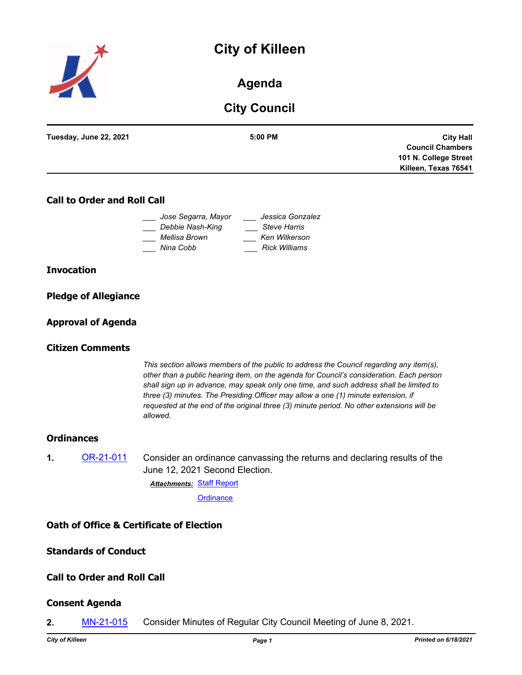# **City of Killeen**



# **Agenda**

# **City Council**

| Tuesday, June 22, 2021 | $5:00$ PM | <b>City Hall</b>        |
|------------------------|-----------|-------------------------|
|                        |           | <b>Council Chambers</b> |
|                        |           | 101 N. College Street   |
|                        |           | Killeen, Texas 76541    |
|                        |           |                         |

# **Call to Order and Roll Call**

| Jose Segarra, Mayor | Jessica Gonzalez     |
|---------------------|----------------------|
| Debbie Nash-King    | <b>Steve Harris</b>  |
| Mellisa Brown       | Ken Wilkerson        |
| Nina Cobb           | <b>Rick Williams</b> |

#### **Invocation**

| <b>Pledge of Allegiance</b> |  |
|-----------------------------|--|
|                             |  |

### **Approval of Agenda**

### **Citizen Comments**

*This section allows members of the public to address the Council regarding any item(s), other than a public hearing item, on the agenda for Council's consideration. Each person shall sign up in advance, may speak only one time, and such address shall be limited to three (3) minutes. The Presiding Officer may allow a one (1) minute extension, if requested at the end of the original three (3) minute period. No other extensions will be allowed.*

#### **Ordinances**

**1.** [OR-21-011](http://killeen.legistar.com/gateway.aspx?m=l&id=/matter.aspx?key=5530) Consider an ordinance canvassing the returns and declaring results of the June 12, 2021 Second Election.

[Staff Report](http://killeen.legistar.com/gateway.aspx?M=F&ID=7c9ba4c1-af83-4a96-9d3c-be17f788e91a.pdf) *Attachments:*

**[Ordinance](http://killeen.legistar.com/gateway.aspx?M=F&ID=3d31bebf-1f7d-4cf3-bafd-770e21105324.pdf)** 

# **Oath of Office & Certificate of Election**

#### **Standards of Conduct**

# **Call to Order and Roll Call**

#### **Consent Agenda**

**2.** [MN-21-015](http://killeen.legistar.com/gateway.aspx?m=l&id=/matter.aspx?key=5522) Consider Minutes of Regular City Council Meeting of June 8, 2021.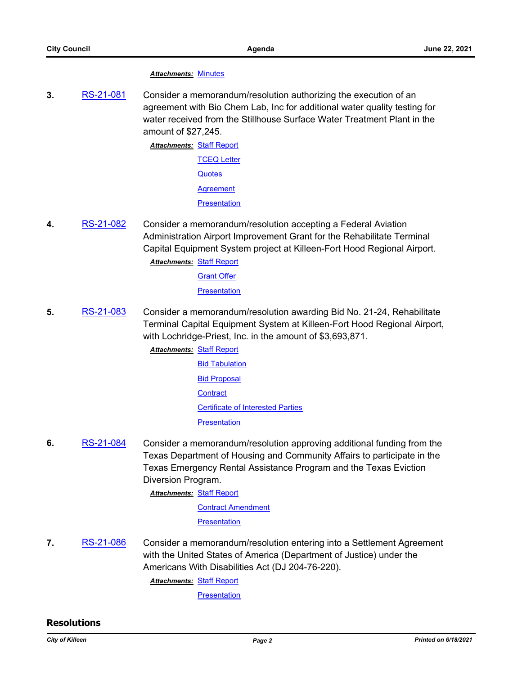#### *Attachments:* [Minutes](http://killeen.legistar.com/gateway.aspx?M=F&ID=cc807c36-03fe-462b-baea-11a482143964.pdf)

**3.** [RS-21-081](http://killeen.legistar.com/gateway.aspx?m=l&id=/matter.aspx?key=5512) Consider a memorandum/resolution authorizing the execution of an agreement with Bio Chem Lab, Inc for additional water quality testing for water received from the Stillhouse Surface Water Treatment Plant in the amount of \$27,245.

> **Attachments: [Staff Report](http://killeen.legistar.com/gateway.aspx?M=F&ID=4cd1f475-9f99-4e34-bf57-1c2941f31821.pdf)** [TCEQ Letter](http://killeen.legistar.com/gateway.aspx?M=F&ID=39e9babf-3f21-40ba-8af4-adc0694ae3ff.pdf) **[Quotes](http://killeen.legistar.com/gateway.aspx?M=F&ID=58a48cd1-51ca-42c3-8a35-07fe86e3d589.pdf) [Agreement](http://killeen.legistar.com/gateway.aspx?M=F&ID=93f645cf-cd33-4f76-8fa3-ddc946f033af.pdf) [Presentation](http://killeen.legistar.com/gateway.aspx?M=F&ID=decd4531-9c03-47ee-b710-d607ba563fe6.pdf)**

- **4.** [RS-21-082](http://killeen.legistar.com/gateway.aspx?m=l&id=/matter.aspx?key=5515) Consider a memorandum/resolution accepting a Federal Aviation Administration Airport Improvement Grant for the Rehabilitate Terminal Capital Equipment System project at Killeen-Fort Hood Regional Airport.
	- [Staff Report](http://killeen.legistar.com/gateway.aspx?M=F&ID=8a4430ba-7ae4-48a1-9f22-74bb68038ccb.pdf) *Attachments:*
		- **[Grant Offer](http://killeen.legistar.com/gateway.aspx?M=F&ID=ddd135d4-4204-4d09-b761-c64c7da58f36.pdf)**

**[Presentation](http://killeen.legistar.com/gateway.aspx?M=F&ID=7bb14357-83cd-44a3-9ee8-8b5a056a82aa.pdf)** 

- **5.** [RS-21-083](http://killeen.legistar.com/gateway.aspx?m=l&id=/matter.aspx?key=5516) Consider a memorandum/resolution awarding Bid No. 21-24, Rehabilitate Terminal Capital Equipment System at Killeen-Fort Hood Regional Airport, with Lochridge-Priest, Inc. in the amount of \$3,693,871.
	- **Attachments: [Staff Report](http://killeen.legistar.com/gateway.aspx?M=F&ID=3cb0d96e-4495-461b-b751-5f9230d3cb83.pdf)** 
		- [Bid Tabulation](http://killeen.legistar.com/gateway.aspx?M=F&ID=83738e79-3322-46b0-b8b4-a467fcd2ae2a.pdf) **[Bid Proposal](http://killeen.legistar.com/gateway.aspx?M=F&ID=f5a38019-0ea3-48eb-ab84-4e213033e27f.pdf) [Contract](http://killeen.legistar.com/gateway.aspx?M=F&ID=ec7526d5-811b-48b5-ae13-0dd03fc58f7d.pdf)** [Certificate of Interested Parties](http://killeen.legistar.com/gateway.aspx?M=F&ID=b50a98b4-0395-40d7-b615-f5ba94ec3d61.pdf) [Presentation](http://killeen.legistar.com/gateway.aspx?M=F&ID=3c499f55-4211-41a1-9395-6789bf2c9056.pdf)
- **6.** [RS-21-084](http://killeen.legistar.com/gateway.aspx?m=l&id=/matter.aspx?key=5506) Consider a memorandum/resolution approving additional funding from the Texas Department of Housing and Community Affairs to participate in the Texas Emergency Rental Assistance Program and the Texas Eviction Diversion Program.
	- **Attachments: [Staff Report](http://killeen.legistar.com/gateway.aspx?M=F&ID=31b2f17b-113e-40b0-964f-530152611e0c.pdf)**

[Contract Amendment](http://killeen.legistar.com/gateway.aspx?M=F&ID=a2687b34-b2b2-4457-a432-784a92978b49.pdf)

**[Presentation](http://killeen.legistar.com/gateway.aspx?M=F&ID=3331d9ed-3ea7-4d3f-b372-f6309fadea4f.pdf)** 

**7.** [RS-21-086](http://killeen.legistar.com/gateway.aspx?m=l&id=/matter.aspx?key=5531) Consider a memorandum/resolution entering into a Settlement Agreement with the United States of America (Department of Justice) under the Americans With Disabilities Act (DJ 204-76-220).

**Attachments: [Staff Report](http://killeen.legistar.com/gateway.aspx?M=F&ID=a3866ea6-1918-4942-ad6f-eb1077d46e9c.pdf)** 

**[Presentation](http://killeen.legistar.com/gateway.aspx?M=F&ID=ed821fda-7f63-462b-a5bf-98ed8dd3e45f.pdf)** 

#### **Resolutions**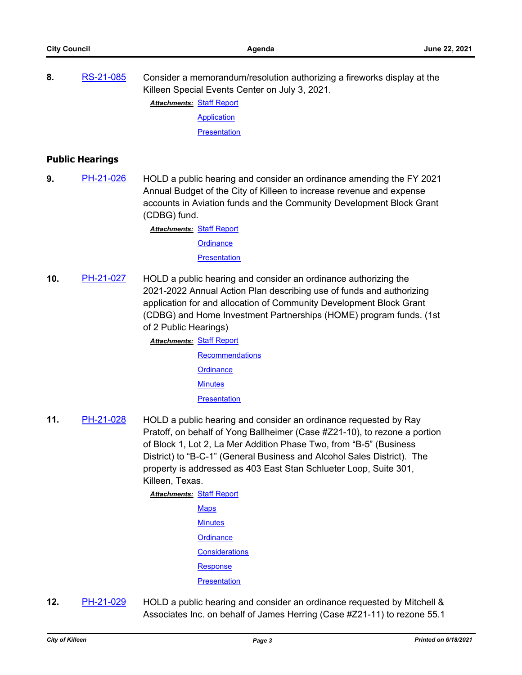| 8. | RS-21-085 | Consider a memorandum/resolution authorizing a fireworks display at the<br>Killeen Special Events Center on July 3, 2021. |
|----|-----------|---------------------------------------------------------------------------------------------------------------------------|
|    |           | <b>Attachments: Staff Report</b>                                                                                          |
|    |           | Application                                                                                                               |

**[Presentation](http://killeen.legistar.com/gateway.aspx?M=F&ID=78c7bfa7-e4c6-4cac-948e-185f2a936cea.pdf)** 

### **Public Hearings**

**9.** [PH-21-026](http://killeen.legistar.com/gateway.aspx?m=l&id=/matter.aspx?key=5507) HOLD a public hearing and consider an ordinance amending the FY 2021 Annual Budget of the City of Killeen to increase revenue and expense accounts in Aviation funds and the Community Development Block Grant (CDBG) fund.

**Attachments: [Staff Report](http://killeen.legistar.com/gateway.aspx?M=F&ID=4d00db69-168f-4d5f-b73b-5ab334024f0a.pdf)** 

**[Ordinance](http://killeen.legistar.com/gateway.aspx?M=F&ID=a9662993-6662-4809-8a51-0b0039bce4db.pdf)** 

**[Presentation](http://killeen.legistar.com/gateway.aspx?M=F&ID=e08206f1-4b80-4e40-91e1-7b73cd6c56d6.pdf)** 

**10.** [PH-21-027](http://killeen.legistar.com/gateway.aspx?m=l&id=/matter.aspx?key=5513) HOLD a public hearing and consider an ordinance authorizing the 2021-2022 Annual Action Plan describing use of funds and authorizing application for and allocation of Community Development Block Grant (CDBG) and Home Investment Partnerships (HOME) program funds. (1st of 2 Public Hearings)

**Attachments: [Staff Report](http://killeen.legistar.com/gateway.aspx?M=F&ID=392c9237-bbb3-41c8-9777-152b73265994.pdf)** 

**[Recommendations](http://killeen.legistar.com/gateway.aspx?M=F&ID=df5b3788-6d34-4b81-91d8-a2b182e30ce1.pdf) [Ordinance](http://killeen.legistar.com/gateway.aspx?M=F&ID=d6b85168-978f-4cb8-b45b-08239ac6efc3.pdf) [Minutes](http://killeen.legistar.com/gateway.aspx?M=F&ID=c5602d3b-f482-4682-85d9-5b39dd886714.pdf) [Presentation](http://killeen.legistar.com/gateway.aspx?M=F&ID=58303be6-1a74-4ec6-af22-6186d5170fc6.pdf)** 

**11.** [PH-21-028](http://killeen.legistar.com/gateway.aspx?m=l&id=/matter.aspx?key=5492) HOLD a public hearing and consider an ordinance requested by Ray Pratoff, on behalf of Yong Ballheimer (Case #Z21-10), to rezone a portion of Block 1, Lot 2, La Mer Addition Phase Two, from "B-5" (Business District) to "B-C-1" (General Business and Alcohol Sales District). The property is addressed as 403 East Stan Schlueter Loop, Suite 301, Killeen, Texas.

> [Staff Report](http://killeen.legistar.com/gateway.aspx?M=F&ID=1ab716ca-adbd-4a5c-9ed2-313583a6876b.pdf) *Attachments:* **[Maps](http://killeen.legistar.com/gateway.aspx?M=F&ID=a9c11ac8-34d2-4d8c-90ee-0823163034d6.pdf) [Minutes](http://killeen.legistar.com/gateway.aspx?M=F&ID=72467dd8-11df-4dc5-b5cf-61ff5ff193ff.pdf) [Ordinance](http://killeen.legistar.com/gateway.aspx?M=F&ID=4b9f3265-1811-4a77-b198-594edb19f119.pdf) [Considerations](http://killeen.legistar.com/gateway.aspx?M=F&ID=c7332595-6c4f-485f-ab8d-2be74c7c25a5.pdf)** [Response](http://killeen.legistar.com/gateway.aspx?M=F&ID=ba03a031-5b96-40fe-af24-0cb09cce0b84.pdf) **[Presentation](http://killeen.legistar.com/gateway.aspx?M=F&ID=170bac92-b8bf-4c2c-9cc1-1e08d8e539c4.pdf)**

**12.** [PH-21-029](http://killeen.legistar.com/gateway.aspx?m=l&id=/matter.aspx?key=5494) HOLD a public hearing and consider an ordinance requested by Mitchell & Associates Inc. on behalf of James Herring (Case #Z21-11) to rezone 55.1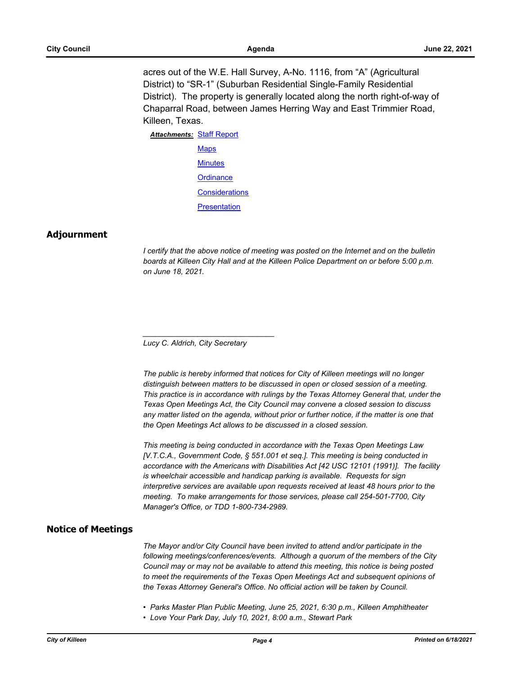acres out of the W.E. Hall Survey, A-No. 1116, from "A" (Agricultural District) to "SR-1" (Suburban Residential Single-Family Residential District). The property is generally located along the north right-of-way of Chaparral Road, between James Herring Way and East Trimmier Road, Killeen, Texas.

**Attachments: [Staff Report](http://killeen.legistar.com/gateway.aspx?M=F&ID=f51bc4e0-6838-4641-80e3-44f04eadea2a.pdf) [Maps](http://killeen.legistar.com/gateway.aspx?M=F&ID=5bea4429-2302-4acd-bff9-7de887abd6c1.pdf) [Minutes](http://killeen.legistar.com/gateway.aspx?M=F&ID=ed5bd537-b8c5-49c3-8c0f-d41935651dbe.pdf) [Ordinance](http://killeen.legistar.com/gateway.aspx?M=F&ID=cf656e67-6e8e-47e0-91d3-f61d545a2a00.pdf) [Considerations](http://killeen.legistar.com/gateway.aspx?M=F&ID=081c23de-07d7-4d96-a05c-62367a1a8422.pdf) [Presentation](http://killeen.legistar.com/gateway.aspx?M=F&ID=18eb73d6-42f5-418a-a671-e61214dac461.pdf)** 

#### **Adjournment**

*I* certify that the above notice of meeting was posted on the Internet and on the bulletin *boards at Killeen City Hall and at the Killeen Police Department on or before 5:00 p.m. on June 18, 2021.*

*Lucy C. Aldrich, City Secretary* 

*\_\_\_\_\_\_\_\_\_\_\_\_\_\_\_\_\_\_\_\_\_\_\_\_\_\_\_\_\_\_\_*

*The public is hereby informed that notices for City of Killeen meetings will no longer distinguish between matters to be discussed in open or closed session of a meeting. This practice is in accordance with rulings by the Texas Attorney General that, under the Texas Open Meetings Act, the City Council may convene a closed session to discuss any matter listed on the agenda, without prior or further notice, if the matter is one that the Open Meetings Act allows to be discussed in a closed session.*

*This meeting is being conducted in accordance with the Texas Open Meetings Law [V.T.C.A., Government Code, § 551.001 et seq.]. This meeting is being conducted in accordance with the Americans with Disabilities Act [42 USC 12101 (1991)]. The facility is wheelchair accessible and handicap parking is available. Requests for sign interpretive services are available upon requests received at least 48 hours prior to the meeting. To make arrangements for those services, please call 254-501-7700, City Manager's Office, or TDD 1-800-734-2989.*

#### **Notice of Meetings**

*The Mayor and/or City Council have been invited to attend and/or participate in the following meetings/conferences/events. Although a quorum of the members of the City Council may or may not be available to attend this meeting, this notice is being posted to meet the requirements of the Texas Open Meetings Act and subsequent opinions of the Texas Attorney General's Office. No official action will be taken by Council.*

- *Parks Master Plan Public Meeting, June 25, 2021, 6:30 p.m., Killeen Amphitheater*
- *Love Your Park Day, July 10, 2021, 8:00 a.m., Stewart Park*